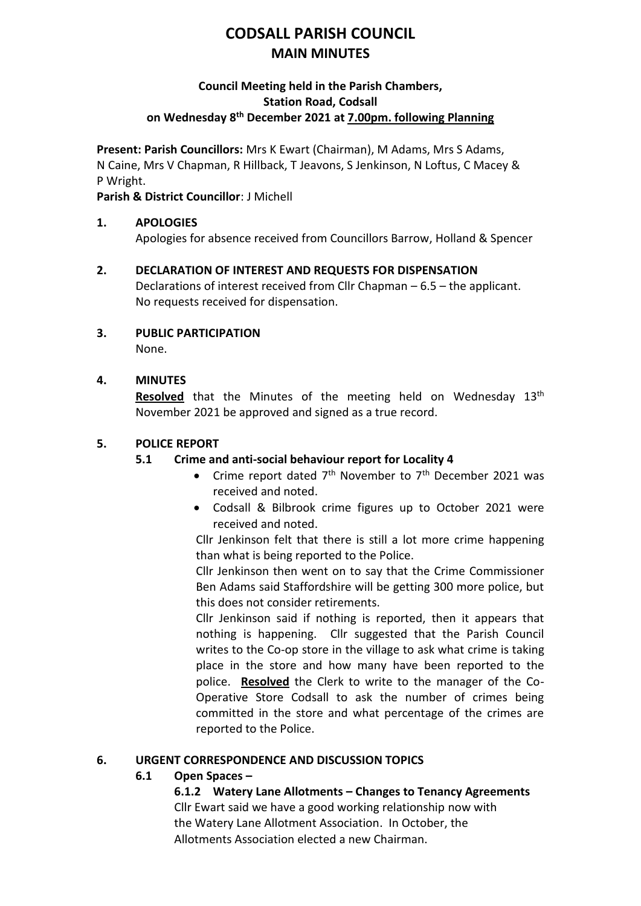# **CODSALL PARISH COUNCIL MAIN MINUTES**

## **Council Meeting held in the Parish Chambers, Station Road, Codsall on Wednesday 8 th December 2021 at 7.00pm. following Planning**

**Present: Parish Councillors:** Mrs K Ewart (Chairman), M Adams, Mrs S Adams, N Caine, Mrs V Chapman, R Hillback, T Jeavons, S Jenkinson, N Loftus, C Macey & P Wright.

**Parish & District Councillor**: J Michell

# **1. APOLOGIES** Apologies for absence received from Councillors Barrow, Holland & Spencer

- **2. DECLARATION OF INTEREST AND REQUESTS FOR DISPENSATION** Declarations of interest received from Cllr Chapman – 6.5 – the applicant. No requests received for dispensation.
- **3. PUBLIC PARTICIPATION** None.

# **4. MINUTES**

**Resolved** that the Minutes of the meeting held on Wednesday 13<sup>th</sup> November 2021 be approved and signed as a true record.

# **5. POLICE REPORT**

# **5.1 Crime and anti-social behaviour report for Locality 4**

- Crime report dated  $7<sup>th</sup>$  November to  $7<sup>th</sup>$  December 2021 was received and noted.
- Codsall & Bilbrook crime figures up to October 2021 were received and noted.

Cllr Jenkinson felt that there is still a lot more crime happening than what is being reported to the Police.

Cllr Jenkinson then went on to say that the Crime Commissioner Ben Adams said Staffordshire will be getting 300 more police, but this does not consider retirements.

Cllr Jenkinson said if nothing is reported, then it appears that nothing is happening. Cllr suggested that the Parish Council writes to the Co-op store in the village to ask what crime is taking place in the store and how many have been reported to the police. **Resolved** the Clerk to write to the manager of the Co-Operative Store Codsall to ask the number of crimes being committed in the store and what percentage of the crimes are reported to the Police.

## **6. URGENT CORRESPONDENCE AND DISCUSSION TOPICS**

# **6.1 Open Spaces –**

**6.1.2 Watery Lane Allotments – Changes to Tenancy Agreements**

Cllr Ewart said we have a good working relationship now with the Watery Lane Allotment Association. In October, the Allotments Association elected a new Chairman.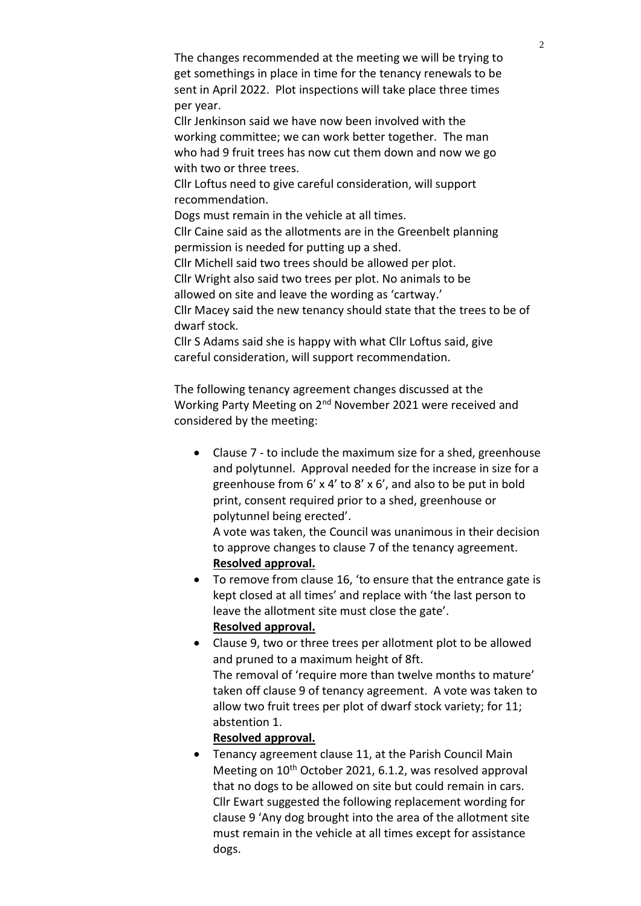The changes recommended at the meeting we will be trying to get somethings in place in time for the tenancy renewals to be sent in April 2022. Plot inspections will take place three times per year.

Cllr Jenkinson said we have now been involved with the working committee; we can work better together. The man who had 9 fruit trees has now cut them down and now we go with two or three trees.

Cllr Loftus need to give careful consideration, will support recommendation.

Dogs must remain in the vehicle at all times.

Cllr Caine said as the allotments are in the Greenbelt planning permission is needed for putting up a shed.

Cllr Michell said two trees should be allowed per plot.

Cllr Wright also said two trees per plot. No animals to be allowed on site and leave the wording as 'cartway.'

Cllr Macey said the new tenancy should state that the trees to be of dwarf stock.

Cllr S Adams said she is happy with what Cllr Loftus said, give careful consideration, will support recommendation.

The following tenancy agreement changes discussed at the Working Party Meeting on 2nd November 2021 were received and considered by the meeting:

• Clause 7 - to include the maximum size for a shed, greenhouse and polytunnel. Approval needed for the increase in size for a greenhouse from 6' x 4' to 8' x 6', and also to be put in bold print, consent required prior to a shed, greenhouse or polytunnel being erected'.

A vote was taken, the Council was unanimous in their decision to approve changes to clause 7 of the tenancy agreement. **Resolved approval.**

• To remove from clause 16, 'to ensure that the entrance gate is kept closed at all times' and replace with 'the last person to leave the allotment site must close the gate'.

## **Resolved approval.**

• Clause 9, two or three trees per allotment plot to be allowed and pruned to a maximum height of 8ft. The removal of 'require more than twelve months to mature' taken off clause 9 of tenancy agreement. A vote was taken to

allow two fruit trees per plot of dwarf stock variety; for 11; abstention 1.

# **Resolved approval.**

• Tenancy agreement clause 11, at the Parish Council Main Meeting on 10<sup>th</sup> October 2021, 6.1.2, was resolved approval that no dogs to be allowed on site but could remain in cars. Cllr Ewart suggested the following replacement wording for clause 9 'Any dog brought into the area of the allotment site must remain in the vehicle at all times except for assistance dogs.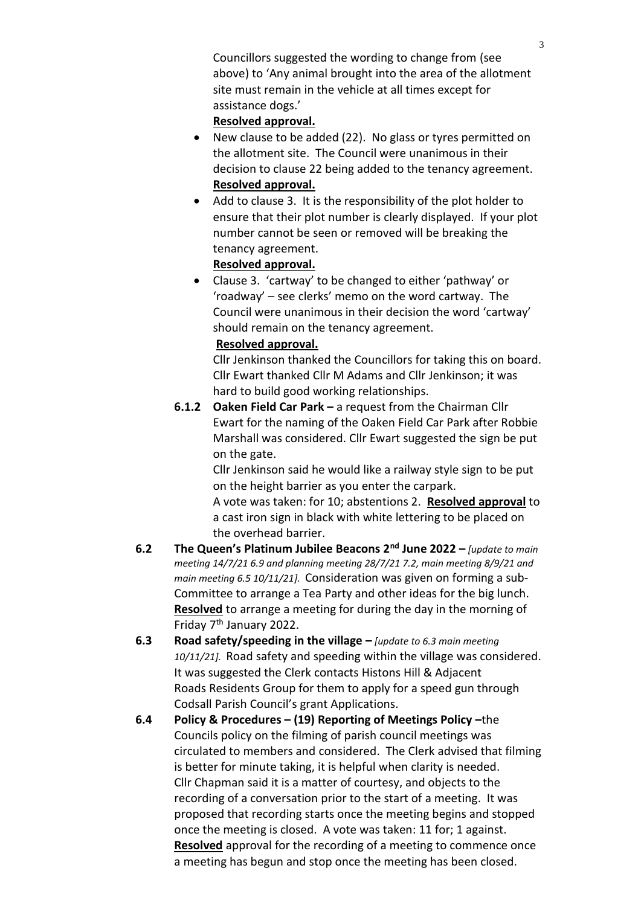Councillors suggested the wording to change from (see above) to 'Any animal brought into the area of the allotment site must remain in the vehicle at all times except for assistance dogs.'

#### **Resolved approval.**

- New clause to be added (22). No glass or tyres permitted on the allotment site. The Council were unanimous in their decision to clause 22 being added to the tenancy agreement. **Resolved approval.**
- Add to clause 3. It is the responsibility of the plot holder to ensure that their plot number is clearly displayed. If your plot number cannot be seen or removed will be breaking the tenancy agreement.

## **Resolved approval.**

• Clause 3. 'cartway' to be changed to either 'pathway' or 'roadway' – see clerks' memo on the word cartway. The Council were unanimous in their decision the word 'cartway' should remain on the tenancy agreement.

## **Resolved approval.**

Cllr Jenkinson thanked the Councillors for taking this on board. Cllr Ewart thanked Cllr M Adams and Cllr Jenkinson; it was hard to build good working relationships.

**6.1.2 Oaken Field Car Park –** a request from the Chairman Cllr Ewart for the naming of the Oaken Field Car Park after Robbie Marshall was considered. Cllr Ewart suggested the sign be put on the gate.

> Cllr Jenkinson said he would like a railway style sign to be put on the height barrier as you enter the carpark.

A vote was taken: for 10; abstentions 2. **Resolved approval** to a cast iron sign in black with white lettering to be placed on the overhead barrier.

- **6.2 The Queen's Platinum Jubilee Beacons 2nd June 2022 –** *[update to main meeting 14/7/21 6.9 and planning meeting 28/7/21 7.2, main meeting 8/9/21 and main meeting 6.5 10/11/21].* Consideration was given on forming a sub-Committee to arrange a Tea Party and other ideas for the big lunch. **Resolved** to arrange a meeting for during the day in the morning of Friday 7th January 2022.
- **6.3 Road safety/speeding in the village –** *[update to 6.3 main meeting 10/11/21].* Road safety and speeding within the village was considered. It was suggested the Clerk contacts Histons Hill & Adjacent Roads Residents Group for them to apply for a speed gun through Codsall Parish Council's grant Applications.
- **6.4 Policy & Procedures – (19) Reporting of Meetings Policy –**the Councils policy on the filming of parish council meetings was circulated to members and considered. The Clerk advised that filming is better for minute taking, it is helpful when clarity is needed. Cllr Chapman said it is a matter of courtesy, and objects to the recording of a conversation prior to the start of a meeting. It was proposed that recording starts once the meeting begins and stopped once the meeting is closed. A vote was taken: 11 for; 1 against. **Resolved** approval for the recording of a meeting to commence once a meeting has begun and stop once the meeting has been closed.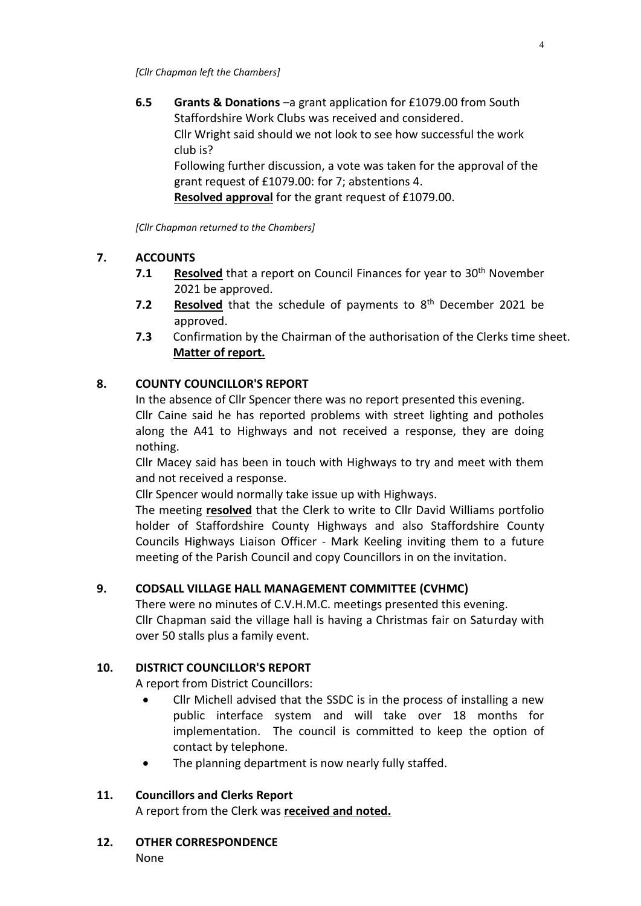**6.5 Grants & Donations** –a grant application for £1079.00 from South Staffordshire Work Clubs was received and considered. Cllr Wright said should we not look to see how successful the work club is? Following further discussion, a vote was taken for the approval of the grant request of £1079.00: for 7; abstentions 4.

**Resolved approval** for the grant request of £1079.00.

*[Cllr Chapman returned to the Chambers]*

## **7. ACCOUNTS**

- **7.1 Resolved** that a report on Council Finances for year to 30<sup>th</sup> November 2021 be approved.
- 7.2 Resolved that the schedule of payments to 8<sup>th</sup> December 2021 be approved.
- **7.3** Confirmation by the Chairman of the authorisation of the Clerks time sheet. **Matter of report.**

## **8. COUNTY COUNCILLOR'S REPORT**

In the absence of Cllr Spencer there was no report presented this evening. Cllr Caine said he has reported problems with street lighting and potholes along the A41 to Highways and not received a response, they are doing nothing.

Cllr Macey said has been in touch with Highways to try and meet with them and not received a response.

Cllr Spencer would normally take issue up with Highways.

The meeting **resolved** that the Clerk to write to Cllr David Williams portfolio holder of Staffordshire County Highways and also Staffordshire County Councils Highways Liaison Officer - Mark Keeling inviting them to a future meeting of the Parish Council and copy Councillors in on the invitation.

## **9. CODSALL VILLAGE HALL MANAGEMENT COMMITTEE (CVHMC)**

There were no minutes of C.V.H.M.C. meetings presented this evening. Cllr Chapman said the village hall is having a Christmas fair on Saturday with over 50 stalls plus a family event.

#### **10. DISTRICT COUNCILLOR'S REPORT**

A report from District Councillors:

- Cllr Michell advised that the SSDC is in the process of installing a new public interface system and will take over 18 months for implementation. The council is committed to keep the option of contact by telephone.
- The planning department is now nearly fully staffed.

#### **11. Councillors and Clerks Report**

A report from the Clerk was **received and noted.**

**12. OTHER CORRESPONDENCE** None